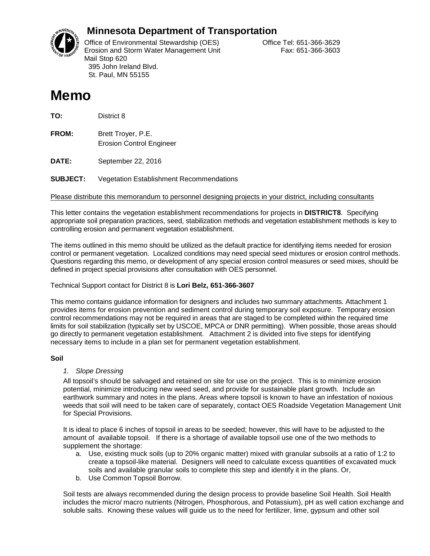

# **Minnesota Department of Transportation**

Office of Environmental Stewardship (OES) Correct Correct Correct Correct Correct Office Tel: 651-366-3629 Erosion and Storm Water Management Unit Fax: 651-366-3603 Mail Stop 620 395 John Ireland Blvd. St. Paul, MN 55155

# **Memo**

**TO:** District 8

**FROM:** Brett Troyer, P.E. Erosion Control Engineer

**DATE:** September 22, 2016

**SUBJECT:** Vegetation Establishment Recommendations

Please distribute this memorandum to personnel designing projects in your district, including consultants

This letter contains the vegetation establishment recommendations for projects in **DISTRICT8**. Specifying appropriate soil preparation practices, seed, stabilization methods and vegetation establishment methods is key to controlling erosion and permanent vegetation establishment.

The items outlined in this memo should be utilized as the default practice for identifying items needed for erosion control or permanent vegetation. Localized conditions may need special seed mixtures or erosion control methods. Questions regarding this memo, or development of any special erosion control measures or seed mixes, should be defined in project special provisions after consultation with OES personnel.

#### Technical Support contact for District 8 is **Lori Belz, 651-366-3607**

This memo contains guidance information for designers and includes two summary attachments. Attachment 1 provides items for erosion prevention and sediment control during temporary soil exposure. Temporary erosion control recommendations may not be required in areas that are staged to be completed within the required time limits for soil stabilization (typically set by USCOE, MPCA or DNR permitting). When possible, those areas should go directly to permanent vegetation establishment. Attachment 2 is divided into five steps for identifying necessary items to include in a plan set for permanent vegetation establishment.

#### **Soil**

#### *1. Slope Dressing*

All topsoil's should be salvaged and retained on site for use on the project. This is to minimize erosion potential, minimize introducing new weed seed, and provide for sustainable plant growth. Include an earthwork summary and notes in the plans. Areas where topsoil is known to have an infestation of noxious weeds that soil will need to be taken care of separately, contact OES Roadside Vegetation Management Unit for Special Provisions.

It is ideal to place 6 inches of topsoil in areas to be seeded; however, this will have to be adjusted to the amount of available topsoil. If there is a shortage of available topsoil use one of the two methods to supplement the shortage:

- a. Use, existing muck soils (up to 20% organic matter) mixed with granular subsoils at a ratio of 1:2 to create a topsoil-like material. Designers will need to calculate excess quantities of excavated muck soils and available granular soils to complete this step and identify it in the plans. Or,
- b. Use Common Topsoil Borrow.

Soil tests are always recommended during the design process to provide baseline Soil Health. Soil Health includes the micro/ macro nutrients (Nitrogen, Phosphorous, and Potassium), pH as well cation exchange and soluble salts. Knowing these values will guide us to the need for fertilizer, lime, gypsum and other soil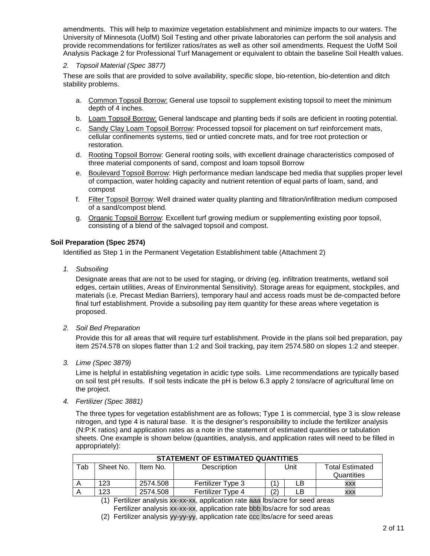amendments. This will help to maximize vegetation establishment and minimize impacts to our waters. The University of Minnesota (UofM) Soil Testing and other private laboratories can perform the soil analysis and provide recommendations for fertilizer ratios/rates as well as other soil amendments. Request the UofM Soil Analysis Package 2 for Professional Turf Management or equivalent to obtain the baseline Soil Health values.

#### *2. Topsoil Material (Spec 3877)*

These are soils that are provided to solve availability, specific slope, bio-retention, bio-detention and ditch stability problems.

- a. Common Topsoil Borrow: General use topsoil to supplement existing topsoil to meet the minimum depth of 4 inches.
- b. Loam Topsoil Borrow: General landscape and planting beds if soils are deficient in rooting potential.
- c. Sandy Clay Loam Topsoil Borrow: Processed topsoil for placement on turf reinforcement mats, cellular confinements systems, tied or untied concrete mats, and for tree root protection or restoration.
- d. Rooting Topsoil Borrow: General rooting soils, with excellent drainage characteristics composed of three material components of sand, compost and loam topsoil Borrow
- e. Boulevard Topsoil Borrow: High performance median landscape bed media that supplies proper level of compaction, water holding capacity and nutrient retention of equal parts of loam, sand, and compost
- f. Filter Topsoil Borrow: Well drained water quality planting and filtration/infiltration medium composed of a sand/compost blend.
- g. Organic Topsoil Borrow: Excellent turf growing medium or supplementing existing poor topsoil, consisting of a blend of the salvaged topsoil and compost.

#### **Soil Preparation (Spec 2574)**

Identified as Step 1 in the Permanent Vegetation Establishment table (Attachment 2)

*1. Subsoiling*

Designate areas that are not to be used for staging, or driving (eg. infiltration treatments, wetland soil edges, certain utilities, Areas of Environmental Sensitivity). Storage areas for equipment, stockpiles, and materials (i.e. Precast Median Barriers), temporary haul and access roads must be de-compacted before final turf establishment. Provide a subsoiling pay item quantity for these areas where vegetation is proposed.

*2. Soil Bed Preparation*

Provide this for all areas that will require turf establishment. Provide in the plans soil bed preparation, pay item 2574.578 on slopes flatter than 1:2 and Soil tracking, pay item 2574.580 on slopes 1:2 and steeper.

*3. Lime (Spec 3879)* 

Lime is helpful in establishing vegetation in acidic type soils. Lime recommendations are typically based on soil test pH results. If soil tests indicate the pH is below 6.3 apply 2 tons/acre of agricultural lime on the project.

*4. Fertilizer (Spec 3881)*

The three types for vegetation establishment are as follows; Type 1 is commercial, type 3 is slow release nitrogen, and type 4 is natural base. It is the designer's responsibility to include the fertilizer analysis (N:P:K ratios) and application rates as a note in the statement of estimated quantities or tabulation sheets. One example is shown below (quantities, analysis, and application rates will need to be filled in appropriately):

| <b>STATEMENT OF ESTIMATED QUANTITIES</b> |           |          |                          |     |    |            |  |  |
|------------------------------------------|-----------|----------|--------------------------|-----|----|------------|--|--|
| Tab                                      | Sheet No. | Unit     | <b>Total Estimated</b>   |     |    |            |  |  |
|                                          |           |          |                          |     |    | Quantities |  |  |
|                                          | 123       | 2574.508 | <b>Fertilizer Type 3</b> |     | LB | <b>XXX</b> |  |  |
|                                          | 123       | 2574.508 | Fertilizer Type 4        | (2) | LΒ | <b>XXX</b> |  |  |

(1) Fertilizer analysis xx-xx-xx, application rate aaa lbs/acre for seed areas Fertilizer analysis xx-xx-xx, application rate bbb lbs/acre for sod areas

(2) Fertilizer analysis yy-yy-yy, application rate ccc lbs/acre for seed areas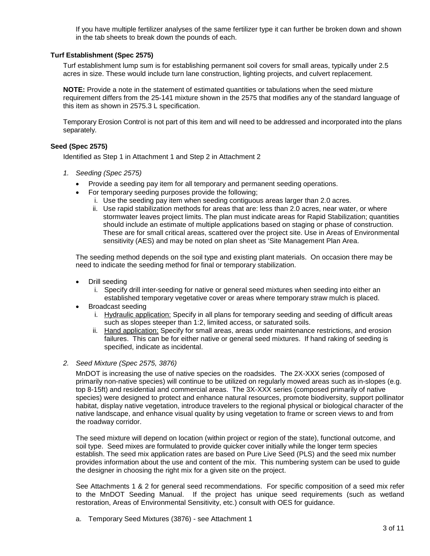If you have multiple fertilizer analyses of the same fertilizer type it can further be broken down and shown in the tab sheets to break down the pounds of each.

#### **Turf Establishment (Spec 2575)**

Turf establishment lump sum is for establishing permanent soil covers for small areas, typically under 2.5 acres in size. These would include turn lane construction, lighting projects, and culvert replacement.

**NOTE:** Provide a note in the statement of estimated quantities or tabulations when the seed mixture requirement differs from the 25-141 mixture shown in the 2575 that modifies any of the standard language of this item as shown in 2575.3 L specification.

Temporary Erosion Control is not part of this item and will need to be addressed and incorporated into the plans separately.

#### **Seed (Spec 2575)**

Identified as Step 1 in Attachment 1 and Step 2 in Attachment 2

- *1. Seeding (Spec 2575)*
	- Provide a seeding pay item for all temporary and permanent seeding operations.
	- For temporary seeding purposes provide the following;
		- i. Use the seeding pay item when seeding contiguous areas larger than 2.0 acres.
		- ii. Use rapid stabilization methods for areas that are: less than 2.0 acres, near water, or where stormwater leaves project limits. The plan must indicate areas for Rapid Stabilization; quantities should include an estimate of multiple applications based on staging or phase of construction. These are for small critical areas, scattered over the project site. Use in Areas of Environmental sensitivity (AES) and may be noted on plan sheet as 'Site Management Plan Area.

The seeding method depends on the soil type and existing plant materials. On occasion there may be need to indicate the seeding method for final or temporary stabilization.

- Drill seeding
	- i. Specify drill inter-seeding for native or general seed mixtures when seeding into either an established temporary vegetative cover or areas where temporary straw mulch is placed.
- Broadcast seeding
	- i. Hydraulic application: Specify in all plans for temporary seeding and seeding of difficult areas such as slopes steeper than 1:2, limited access, or saturated soils.
	- ii. Hand application: Specify for small areas, areas under maintenance restrictions, and erosion failures. This can be for either native or general seed mixtures. If hand raking of seeding is specified, indicate as incidental.

#### *2. Seed Mixture (Spec 2575, 3876)*

MnDOT is increasing the use of native species on the roadsides. The 2X-XXX series (composed of primarily non-native species) will continue to be utilized on regularly mowed areas such as in-slopes (e.g. top 8-15ft) and residential and commercial areas. The 3X-XXX series (composed primarily of native species) were designed to protect and enhance natural resources, promote biodiversity, support pollinator habitat, display native vegetation, introduce travelers to the regional physical or biological character of the native landscape, and enhance visual quality by using vegetation to frame or screen views to and from the roadway corridor.

The seed mixture will depend on location (within project or region of the state), functional outcome, and soil type. Seed mixes are formulated to provide quicker cover initially while the longer term species establish. The seed mix application rates are based on Pure Live Seed (PLS) and the seed mix number provides information about the use and content of the mix. This numbering system can be used to guide the designer in choosing the right mix for a given site on the project.

See Attachments 1 & 2 for general seed recommendations. For specific composition of a seed mix refer to the MnDOT Seeding Manual. If the project has unique seed requirements (such as wetland restoration, Areas of Environmental Sensitivity, etc.) consult with OES for guidance.

a. Temporary Seed Mixtures (3876) - see Attachment 1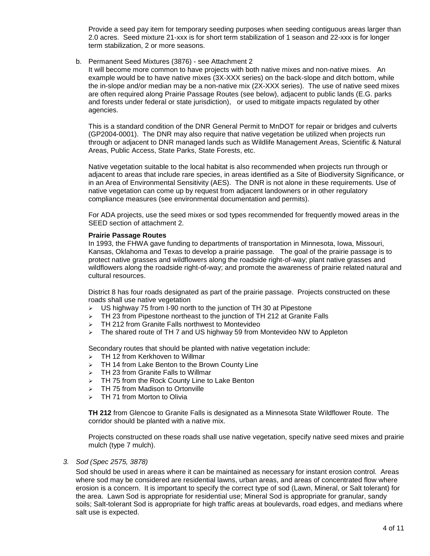Provide a seed pay item for temporary seeding purposes when seeding contiguous areas larger than 2.0 acres. Seed mixture 21-xxx is for short term stabilization of 1 season and 22-xxx is for longer term stabilization, 2 or more seasons.

b. Permanent Seed Mixtures (3876) - see Attachment 2

It will become more common to have projects with both native mixes and non-native mixes. An example would be to have native mixes (3X-XXX series) on the back-slope and ditch bottom, while the in-slope and/or median may be a non-native mix (2X-XXX series). The use of native seed mixes are often required along Prairie Passage Routes (see below), adjacent to public lands (E.G. parks and forests under federal or state jurisdiction), or used to mitigate impacts regulated by other agencies.

This is a standard condition of the DNR General Permit to MnDOT for repair or bridges and culverts (GP2004-0001). The DNR may also require that native vegetation be utilized when projects run through or adjacent to DNR managed lands such as Wildlife Management Areas, Scientific & Natural Areas, Public Access, State Parks, State Forests, etc.

Native vegetation suitable to the local habitat is also recommended when projects run through or adjacent to areas that include rare species, in areas identified as a Site of Biodiversity Significance, or in an Area of Environmental Sensitivity (AES). The DNR is not alone in these requirements. Use of native vegetation can come up by request from adjacent landowners or in other regulatory compliance measures (see environmental documentation and permits).

For ADA projects, use the seed mixes or sod types recommended for frequently mowed areas in the SEED section of attachment 2.

#### **Prairie Passage Routes**

In 1993, the FHWA gave funding to departments of transportation in Minnesota, Iowa, Missouri, Kansas, Oklahoma and Texas to develop a prairie passage. The goal of the prairie passage is to protect native grasses and wildflowers along the roadside right-of-way; plant native grasses and wildflowers along the roadside right-of-way; and promote the awareness of prairie related natural and cultural resources.

District 8 has four roads designated as part of the prairie passage. Projects constructed on these roads shall use native vegetation

- US highway 75 from I-90 north to the junction of TH 30 at Pipestone
- $\triangleright$  TH 23 from Pipestone northeast to the junction of TH 212 at Granite Falls
- $\triangleright$  TH 212 from Granite Falls northwest to Montevideo
- > The shared route of TH 7 and US highway 59 from Montevideo NW to Appleton

Secondary routes that should be planted with native vegetation include:

- > TH 12 from Kerkhoven to Willmar
- $\triangleright$  TH 14 from Lake Benton to the Brown County Line
- > TH 23 from Granite Falls to Willmar
- > TH 75 from the Rock County Line to Lake Benton
- $\triangleright$  TH 75 from Madison to Ortonville
- > TH 71 from Morton to Olivia

**TH 212** from Glencoe to Granite Falls is designated as a Minnesota State Wildflower Route. The corridor should be planted with a native mix.

Projects constructed on these roads shall use native vegetation, specify native seed mixes and prairie mulch (type 7 mulch).

#### *3. Sod (Spec 2575, 3878)*

Sod should be used in areas where it can be maintained as necessary for instant erosion control. Areas where sod may be considered are residential lawns, urban areas, and areas of concentrated flow where erosion is a concern. It is important to specify the correct type of sod (Lawn, Mineral, or Salt tolerant) for the area. Lawn Sod is appropriate for residential use; Mineral Sod is appropriate for granular, sandy soils; Salt-tolerant Sod is appropriate for high traffic areas at boulevards, road edges, and medians where salt use is expected.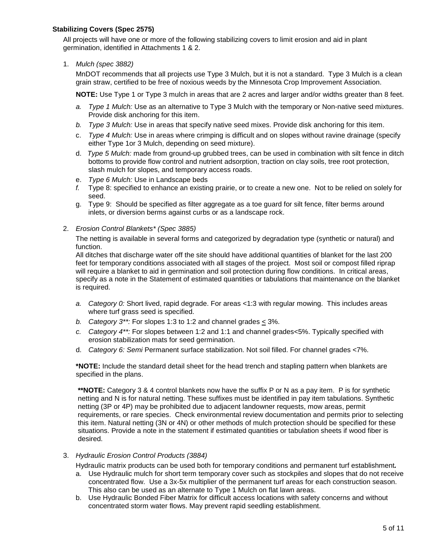#### **Stabilizing Covers (Spec 2575)**

All projects will have one or more of the following stabilizing covers to limit erosion and aid in plant germination, identified in Attachments 1 & 2.

1. *Mulch (spec 3882)* 

MnDOT recommends that all projects use Type 3 Mulch, but it is not a standard. Type 3 Mulch is a clean grain straw, certified to be free of noxious weeds by the Minnesota Crop Improvement Association.

**NOTE:** Use Type 1 or Type 3 mulch in areas that are 2 acres and larger and/or widths greater than 8 feet.

- *a. Type 1 Mulch:* Use as an alternative to Type 3 Mulch with the temporary or Non-native seed mixtures. Provide disk anchoring for this item.
- *b. Type 3 Mulch:* Use in areas that specify native seed mixes. Provide disk anchoring for this item.
- c. *Type 4 Mulch:* Use in areas where crimping is difficult and on slopes without ravine drainage (specify either Type 1or 3 Mulch, depending on seed mixture).
- d. *Type 5 Mulch:* made from ground-up grubbed trees, can be used in combination with silt fence in ditch bottoms to provide flow control and nutrient adsorption, traction on clay soils, tree root protection, slash mulch for slopes, and temporary access roads.
- e. *Type 6 Mulch:* Use in Landscape beds
- *f.* Type 8: specified to enhance an existing prairie, or to create a new one. Not to be relied on solely for seed.
- g. Type 9: Should be specified as filter aggregate as a toe guard for silt fence, filter berms around inlets, or diversion berms against curbs or as a landscape rock.
- 2. *Erosion Control Blankets\* (Spec 3885)*

The netting is available in several forms and categorized by degradation type (synthetic or natural) and function.

All ditches that discharge water off the site should have additional quantities of blanket for the last 200 feet for temporary conditions associated with all stages of the project. Most soil or compost filled riprap will require a blanket to aid in germination and soil protection during flow conditions. In critical areas, specify as a note in the Statement of estimated quantities or tabulations that maintenance on the blanket is required.

- *a. Category 0:* Short lived, rapid degrade. For areas <1:3 with regular mowing. This includes areas where turf grass seed is specified.
- *b. Category 3\*\*:* For slopes 1:3 to 1:2 and channel grades < 3%.
- *c. Category 4\*\*:* For slopes between 1:2 and 1:1 and channel grades<5%. Typically specified with erosion stabilization mats for seed germination.
- d. *Category 6: Semi* Permanent surface stabilization. Not soil filled. For channel grades <7%.

**\*NOTE:** Include the standard detail sheet for the head trench and stapling pattern when blankets are specified in the plans.

**\*\*NOTE:** Category 3 & 4 control blankets now have the suffix P or N as a pay item. P is for synthetic netting and N is for natural netting. These suffixes must be identified in pay item tabulations. Synthetic netting (3P or 4P) may be prohibited due to adjacent landowner requests, mow areas, permit requirements, or rare species. Check environmental review documentation and permits prior to selecting this item. Natural netting (3N or 4N) or other methods of mulch protection should be specified for these situations. Provide a note in the statement if estimated quantities or tabulation sheets if wood fiber is desired.

#### 3. *Hydraulic Erosion Control Products (3884)*

Hydraulic matrix products can be used both for temporary conditions and permanent turf establishment*.* 

- a. Use Hydraulic mulch for short term temporary cover such as stockpiles and slopes that do not receive concentrated flow. Use a 3x-5x multiplier of the permanent turf areas for each construction season. This also can be used as an alternate to Type 1 Mulch on flat lawn areas.
- b. Use Hydraulic Bonded Fiber Matrix for difficult access locations with safety concerns and without concentrated storm water flows. May prevent rapid seedling establishment.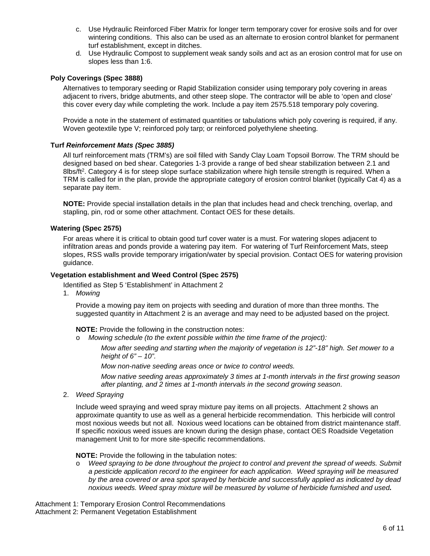- c. Use Hydraulic Reinforced Fiber Matrix for longer term temporary cover for erosive soils and for over wintering conditions. This also can be used as an alternate to erosion control blanket for permanent turf establishment, except in ditches.
- d. Use Hydraulic Compost to supplement weak sandy soils and act as an erosion control mat for use on slopes less than 1:6.

#### **Poly Coverings (Spec 3888)**

Alternatives to temporary seeding or Rapid Stabilization consider using temporary poly covering in areas adjacent to rivers, bridge abutments, and other steep slope. The contractor will be able to 'open and close' this cover every day while completing the work. Include a pay item 2575.518 temporary poly covering.

Provide a note in the statement of estimated quantities or tabulations which poly covering is required, if any. Woven geotextile type V; reinforced poly tarp; or reinforced polyethylene sheeting.

#### **Turf** *Reinforcement Mats (Spec 3885)*

All turf reinforcement mats (TRM's) are soil filled with Sandy Clay Loam Topsoil Borrow. The TRM should be designed based on bed shear. Categories 1-3 provide a range of bed shear stabilization between 2.1 and 8lbs/ft<sup>2</sup>. Category 4 is for steep slope surface stabilization where high tensile strength is required. When a TRM is called for in the plan, provide the appropriate category of erosion control blanket (typically Cat 4) as a separate pay item.

**NOTE:** Provide special installation details in the plan that includes head and check trenching, overlap, and stapling, pin, rod or some other attachment. Contact OES for these details.

#### **Watering (Spec 2575)**

For areas where it is critical to obtain good turf cover water is a must. For watering slopes adjacent to infiltration areas and ponds provide a watering pay item. For watering of Turf Reinforcement Mats, steep slopes, RSS walls provide temporary irrigation/water by special provision. Contact OES for watering provision guidance.

#### **Vegetation establishment and Weed Control (Spec 2575)**

Identified as Step 5 'Establishment' in Attachment 2

1. *Mowing*

Provide a mowing pay item on projects with seeding and duration of more than three months. The suggested quantity in Attachment 2 is an average and may need to be adjusted based on the project.

**NOTE:** Provide the following in the construction notes:

o *Mowing schedule (to the extent possible within the time frame of the project):*

*Mow after seeding and starting when the majority of vegetation is 12"-18" high. Set mower to a height of 6" – 10".*

*Mow non-native seeding areas once or twice to control weeds.* 

*Mow native seeding areas approximately 3 times at 1-month intervals in the first growing season after planting, and 2 times at 1-month intervals in the second growing season*.

2. *Weed Spraying* 

Include weed spraying and weed spray mixture pay items on all projects. Attachment 2 shows an approximate quantity to use as well as a general herbicide recommendation. This herbicide will control most noxious weeds but not all. Noxious weed locations can be obtained from district maintenance staff. If specific noxious weed issues are known during the design phase, contact OES Roadside Vegetation management Unit to for more site-specific recommendations.

**NOTE:** Provide the following in the tabulation notes:

o *Weed spraying to be done throughout the project to control and prevent the spread of weeds. Submit a pesticide application record to the engineer for each application. Weed spraying will be measured by the area covered or area spot sprayed by herbicide and successfully applied as indicated by dead noxious weeds. Weed spray mixture will be measured by volume of herbicide furnished and used.* 

Attachment 1: Temporary Erosion Control Recommendations Attachment 2: Permanent Vegetation Establishment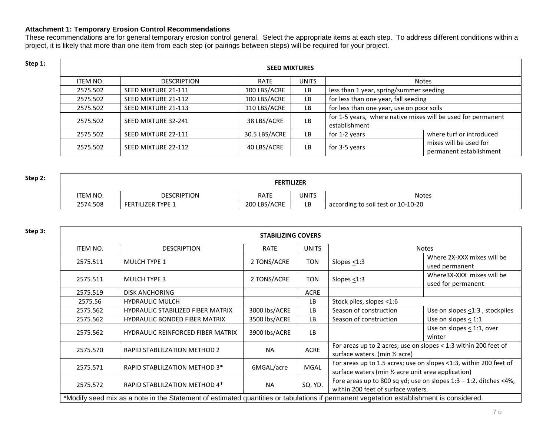### **Attachment 1: Temporary Erosion Control Recommendations**

These recommendations are for general temporary erosion control general. Select the appropriate items at each step. To address different conditions within a project, it is likely that more than one item from each step (or pairings between steps) will be required for your project.

| Step 1: | <b>SEED MIXTURES</b> |                     |                                      |     |                                                                               |                                                   |  |  |  |
|---------|----------------------|---------------------|--------------------------------------|-----|-------------------------------------------------------------------------------|---------------------------------------------------|--|--|--|
|         | ITEM NO.             | <b>DESCRIPTION</b>  | <b>UNITS</b><br><b>RATE</b><br>Notes |     |                                                                               |                                                   |  |  |  |
|         | 2575.502             | SEED MIXTURE 21-111 | 100 LBS/ACRE                         | LB. | less than 1 year, spring/summer seeding                                       |                                                   |  |  |  |
|         | 2575.502             | SEED MIXTURE 21-112 | 100 LBS/ACRE                         | LB. | for less than one year, fall seeding                                          |                                                   |  |  |  |
|         | 2575.502             | SEED MIXTURE 21-113 | 110 LBS/ACRE                         | LB  | for less than one year, use on poor soils                                     |                                                   |  |  |  |
|         | 2575.502             | SEED MIXTURE 32-241 | 38 LBS/ACRE                          | LB. | for 1-5 years, where native mixes will be used for permanent<br>establishment |                                                   |  |  |  |
|         | 2575.502             | SEED MIXTURE 22-111 | 30.5 LBS/ACRE                        | LB  | for 1-2 years                                                                 | where turf or introduced                          |  |  |  |
|         | 2575.502             | SEED MIXTURE 22-112 | 40 LBS/ACRE                          | LB. | for 3-5 years                                                                 | mixes will be used for<br>permanent establishment |  |  |  |

| Step 2: | <b>FERTILIZER</b> |                          |              |       |                                    |  |  |
|---------|-------------------|--------------------------|--------------|-------|------------------------------------|--|--|
|         | <b>ITEM NO.</b>   | <b>DESCRIPTION</b>       | <b>RATE</b>  | UNITS | <b>Notes</b>                       |  |  |
|         | 2574.508          | <b>FERTILIZER TYPE 1</b> | 200 LBS/ACRE | LB    | according to soil test or 10-10-20 |  |  |

| Step 3: |                 |                                                                                                                                         | <b>STABILIZING COVERS</b> |              |                                                                                                                          |                                                                      |  |  |
|---------|-----------------|-----------------------------------------------------------------------------------------------------------------------------------------|---------------------------|--------------|--------------------------------------------------------------------------------------------------------------------------|----------------------------------------------------------------------|--|--|
|         | <b>ITEM NO.</b> | <b>DESCRIPTION</b>                                                                                                                      | <b>RATE</b>               | <b>UNITS</b> | <b>Notes</b>                                                                                                             |                                                                      |  |  |
|         | 2575.511        | MULCH TYPE 1                                                                                                                            | 2 TONS/ACRE               | TON          | Slopes $\leq$ 1:3                                                                                                        | Where 2X-XXX mixes will be<br>used permanent                         |  |  |
|         | 2575.511        | <b>MULCH TYPE 3</b>                                                                                                                     | 2 TONS/ACRE               | TON          | Slopes $\leq$ 1:3                                                                                                        | Where3X-XXX mixes will be<br>used for permanent                      |  |  |
|         | 2575.519        | <b>DISK ANCHORING</b>                                                                                                                   |                           | ACRE         |                                                                                                                          |                                                                      |  |  |
|         | 2575.56         | <b>HYDRAULIC MULCH</b>                                                                                                                  |                           | LB.          | Stock piles, slopes <1:6                                                                                                 |                                                                      |  |  |
|         | 2575.562        | <b>HYDRAULIC STABILIZED FIBER MATRIX</b>                                                                                                | 3000 lbs/ACRE             | LB.          | Season of construction                                                                                                   | Use on slopes $\leq$ 1:3, stockpiles                                 |  |  |
|         | 2575.562        | <b>HYDRAULIC BONDED FIBER MATRIX</b>                                                                                                    | 3500 lbs/ACRE             | <b>LB</b>    | Season of construction                                                                                                   | Use on slopes $<$ 1:1                                                |  |  |
|         | 2575.562        | <b>HYDRAULIC REINFORCED FIBER MATRIX</b>                                                                                                | 3900 lbs/ACRE             | <b>LB</b>    |                                                                                                                          | Use on slopes $\leq$ 1:1, over<br>winter                             |  |  |
|         | 2575.570        | <b>RAPID STABLILZATION METHOD 2</b>                                                                                                     | <b>NA</b>                 | <b>ACRE</b>  | For areas up to 2 acres; use on slopes < 1:3 within 200 feet of<br>surface waters. (min 1/2 acre)                        |                                                                      |  |  |
|         | 2575.571        | RAPID STABLILZATION METHOD 3*                                                                                                           | 6MGAL/acre                | MGAL         | For areas up to 1.5 acres; use on slopes <1:3, within 200 feet of<br>surface waters (min 1/2 acre unit area application) |                                                                      |  |  |
|         | 2575.572        | RAPID STABLILZATION METHOD 4*                                                                                                           | <b>NA</b>                 | SQ. YD.      | within 200 feet of surface waters.                                                                                       | Fore areas up to 800 sq yd; use on slopes $1:3 - 1:2$ , ditches <4%, |  |  |
|         |                 | *Modify seed mix as a note in the Statement of estimated quantities or tabulations if permanent vegetation establishment is considered. |                           |              |                                                                                                                          |                                                                      |  |  |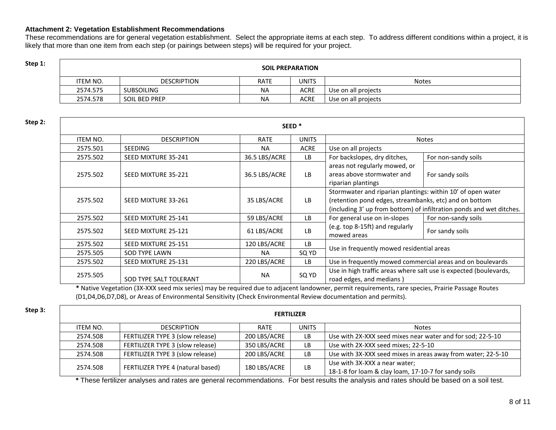#### **Attachment 2: Vegetation Establishment Recommendations**

These recommendations are for general vegetation establishment. Select the appropriate items at each step. To address different conditions within a project, it is likely that more than one item from each step (or pairings between steps) will be required for your project.

# **Step 1: Step 1: SOIL PREPARATION**

| ITEM NO. | <b>DESCRIPTION</b>   | RATE | UNITS | <b>Notes</b>        |
|----------|----------------------|------|-------|---------------------|
| 2574.575 | <b>SUBSOILING</b>    | ΝA   | ACRE  | Use on all projects |
| 2574.578 | <b>SOIL BED PREP</b> | ΝA   | ACRE  | Use on all projects |

| Step 2: |                 |                        |               | SEED <sup>*</sup> |                                                                                                                       |                                                                      |  |  |
|---------|-----------------|------------------------|---------------|-------------------|-----------------------------------------------------------------------------------------------------------------------|----------------------------------------------------------------------|--|--|
|         | <b>ITEM NO.</b> | <b>DESCRIPTION</b>     | <b>RATE</b>   | <b>UNITS</b>      |                                                                                                                       | <b>Notes</b>                                                         |  |  |
|         | 2575.501        | <b>SEEDING</b>         | <b>NA</b>     | <b>ACRE</b>       | Use on all projects                                                                                                   |                                                                      |  |  |
|         | 2575.502        | SEED MIXTURE 35-241    | 36.5 LBS/ACRE | LB.               | For backslopes, dry ditches,                                                                                          | For non-sandy soils                                                  |  |  |
|         | 2575.502        | SEED MIXTURE 35-221    | 36.5 LBS/ACRE | LB.               | areas not regularly mowed, or<br>areas above stormwater and<br>riparian plantings                                     | For sandy soils                                                      |  |  |
|         | 2575.502        | SEED MIXTURE 33-261    | 35 LBS/ACRE   | LB                | Stormwater and riparian plantings: within 10' of open water<br>(retention pond edges, streambanks, etc) and on bottom | (including 3' up from bottom) of infiltration ponds and wet ditches. |  |  |
|         | 2575.502        | SEED MIXTURE 25-141    | 59 LBS/ACRE   | LB.               | For general use on in-slopes                                                                                          | For non-sandy soils                                                  |  |  |
|         | 2575.502        | SEED MIXTURE 25-121    | 61 LBS/ACRE   | LB                | (e.g. top 8-15ft) and regularly<br>mowed areas                                                                        | For sandy soils                                                      |  |  |
|         | 2575.502        | SEED MIXTURE 25-151    | 120 LBS/ACRE  | <b>LB</b>         | Use in frequently mowed residential areas                                                                             |                                                                      |  |  |
|         | 2575.505        | <b>SOD TYPE LAWN</b>   | <b>NA</b>     | SQ YD             |                                                                                                                       |                                                                      |  |  |
|         | 2575.502        | SEED MIXTURE 25-131    | 220 LBS/ACRE  | <b>LB</b>         | Use in frequently mowed commercial areas and on boulevards                                                            |                                                                      |  |  |
|         | 2575.505        | SOD TYPE SALT TOLERANT | <b>NA</b>     | SQ YD             | Use in high traffic areas where salt use is expected (boulevards,<br>road edges, and medians)                         |                                                                      |  |  |

**\*** Native Vegetation (3X-XXX seed mix series) may be required due to adjacent landowner, permit requirements, rare species, Prairie Passage Routes (D1,D4,D6,D7,D8), or Areas of Environmental Sensitivity (Check Environmental Review documentation and permits).

| Step 3: | <b>FERTILIZER</b> |                                   |              |              |                                                                                       |  |  |  |
|---------|-------------------|-----------------------------------|--------------|--------------|---------------------------------------------------------------------------------------|--|--|--|
|         | ITEM NO.          | <b>DESCRIPTION</b>                | RATE         | <b>UNITS</b> | <b>Notes</b>                                                                          |  |  |  |
|         | 2574.508          | FERTILIZER TYPE 3 (slow release)  | 200 LBS/ACRE | LB.          | Use with 2X-XXX seed mixes near water and for sod; 22-5-10                            |  |  |  |
|         | 2574.508          | FERTILIZER TYPE 3 (slow release)  | 350 LBS/ACRE | LB           | Use with 2X-XXX seed mixes; 22-5-10                                                   |  |  |  |
|         | 2574.508          | FERTILIZER TYPE 3 (slow release)  | 200 LBS/ACRE | LB           | Use with 3X-XXX seed mixes in areas away from water; 22-5-10                          |  |  |  |
|         | 2574.508          | FERTILIZER TYPE 4 (natural based) | 180 LBS/ACRE | LB           | Use with 3X-XXX a near water;<br>18-1-8 for loam & clay loam, 17-10-7 for sandy soils |  |  |  |

**\*** These fertilizer analyses and rates are general recommendations. For best results the analysis and rates should be based on a soil test.